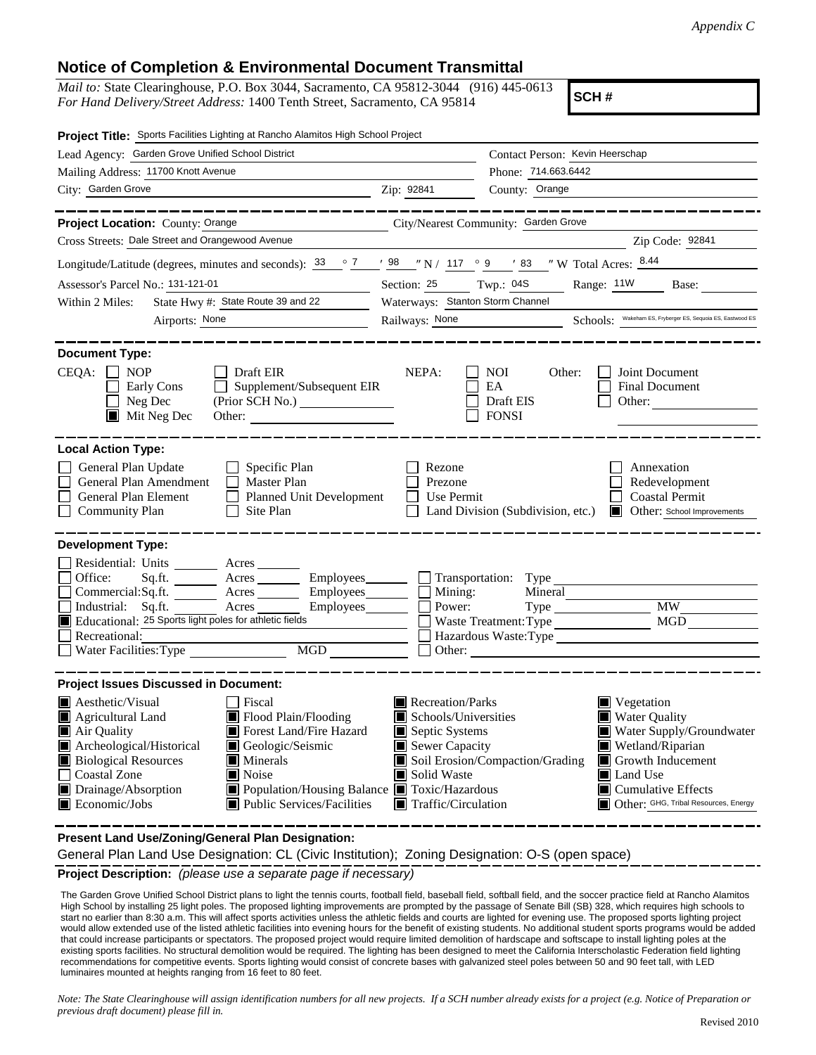## **Notice of Completion & Environmental Document Transmittal**

*Mail to:* State Clearinghouse, P.O. Box 3044, Sacramento, CA 95812-3044 (916) 445-0613 *For Hand Delivery/Street Address:* 1400 Tenth Street, Sacramento, CA 95814

**SCH #**

| Project Title: Sports Facilities Lighting at Rancho Alamitos High School Project                                                                                                                                                                                                                                                                                                                                                                  |                                                                                                                                                                                                                                                                                                                                                                                                              |  |  |
|---------------------------------------------------------------------------------------------------------------------------------------------------------------------------------------------------------------------------------------------------------------------------------------------------------------------------------------------------------------------------------------------------------------------------------------------------|--------------------------------------------------------------------------------------------------------------------------------------------------------------------------------------------------------------------------------------------------------------------------------------------------------------------------------------------------------------------------------------------------------------|--|--|
| Lead Agency: Garden Grove Unified School District                                                                                                                                                                                                                                                                                                                                                                                                 | Contact Person: Kevin Heerschap                                                                                                                                                                                                                                                                                                                                                                              |  |  |
| Mailing Address: 11700 Knott Avenue                                                                                                                                                                                                                                                                                                                                                                                                               | Phone: 714.663.6442                                                                                                                                                                                                                                                                                                                                                                                          |  |  |
| City: Garden Grove                                                                                                                                                                                                                                                                                                                                                                                                                                | Zip: 92841<br>County: Orange                                                                                                                                                                                                                                                                                                                                                                                 |  |  |
| __________                                                                                                                                                                                                                                                                                                                                                                                                                                        |                                                                                                                                                                                                                                                                                                                                                                                                              |  |  |
| Project Location: County: Orange                                                                                                                                                                                                                                                                                                                                                                                                                  | City/Nearest Community: Garden Grove                                                                                                                                                                                                                                                                                                                                                                         |  |  |
| Cross Streets: Dale Street and Orangewood Avenue                                                                                                                                                                                                                                                                                                                                                                                                  | Zip Code: 92841                                                                                                                                                                                                                                                                                                                                                                                              |  |  |
|                                                                                                                                                                                                                                                                                                                                                                                                                                                   | Longitude/Latitude (degrees, minutes and seconds): $\frac{33}{2}$ $\frac{7}{2}$ $\frac{198}{2}$ $\frac{117}{2}$ $\frac{99}{2}$ $\frac{117}{2}$ $\frac{9}{2}$ $\frac{117}{2}$ $\frac{117}{2}$ $\frac{9}{2}$ $\frac{117}{2}$ $\frac{117}{2}$ $\frac{117}{2}$ $\frac{117}{2}$ $\frac{117}{2}$                                                                                                                   |  |  |
| Assessor's Parcel No.: 131-121-01                                                                                                                                                                                                                                                                                                                                                                                                                 | Section: 25 Twp.: 04S<br>Range: 11W Base:                                                                                                                                                                                                                                                                                                                                                                    |  |  |
| State Hwy #: State Route 39 and 22<br>Within 2 Miles:                                                                                                                                                                                                                                                                                                                                                                                             | Waterways: Stanton Storm Channel                                                                                                                                                                                                                                                                                                                                                                             |  |  |
| Airports: None                                                                                                                                                                                                                                                                                                                                                                                                                                    | Railways: <u>None</u> Schools: Wakeham ES, Fryberger ES, Sequoia ES, Eastwood ES                                                                                                                                                                                                                                                                                                                             |  |  |
| <b>Document Type:</b><br>CEQA:<br><b>NOP</b><br>$\Box$ Draft EIR<br>Supplement/Subsequent EIR<br>Early Cons<br>$\Box$ Neg Dec<br>(Prior SCH No.)<br>$\blacksquare$ Mit Neg Dec<br>Other: $\qquad \qquad$                                                                                                                                                                                                                                          | NEPA:<br>Joint Document<br><b>NOI</b><br>Other:<br>EA<br>Final Document<br>Draft EIS<br>Other:<br><b>FONSI</b>                                                                                                                                                                                                                                                                                               |  |  |
| <b>Local Action Type:</b>                                                                                                                                                                                                                                                                                                                                                                                                                         |                                                                                                                                                                                                                                                                                                                                                                                                              |  |  |
| General Plan Update<br>$\Box$ Specific Plan<br>General Plan Amendment<br>$\Box$ Master Plan<br>General Plan Element<br>$\Box$<br>Planned Unit Development<br><b>Community Plan</b><br>Site Plan<br>$\perp$                                                                                                                                                                                                                                        | Rezone<br>Annexation<br>Prezone<br>Redevelopment<br>Use Permit<br><b>Coastal Permit</b><br>Land Division (Subdivision, etc.)<br>Other: School Improvements                                                                                                                                                                                                                                                   |  |  |
| <b>Development Type:</b><br>Residential: Units ________ Acres _______<br>Office:<br>Sq.fit.<br>Acres<br>Commercial:Sq.ft. Acres<br>Industrial: Sq.ft.<br>Acres<br>Employees_________<br>$\mathcal{L}^{\text{max}}$<br>Educational: 25 Sports light poles for athletic fields<br>Recreational:<br>MGD<br>Water Facilities: Type                                                                                                                    | Employees Transportation: Type<br>$Employees$ $\Box$ Mining:<br>Mineral<br><b>MW</b><br>Power:<br>MGD<br>Waste Treatment: Type<br>Hazardous Waste:Type                                                                                                                                                                                                                                                       |  |  |
| <b>Project Issues Discussed in Document:</b>                                                                                                                                                                                                                                                                                                                                                                                                      |                                                                                                                                                                                                                                                                                                                                                                                                              |  |  |
| $\blacksquare$ Aesthetic/Visual<br>Fiscal<br>Agricultural Land<br>$\blacksquare$ Flood Plain/Flooding<br>Air Quality<br>Forest Land/Fire Hazard<br>Archeological/Historical<br>Geologic/Seismic<br><b>Biological Resources</b><br>$\blacksquare$ Minerals<br><b>Coastal Zone</b><br>$\blacksquare$ Noise<br>Drainage/Absorption<br>■ Population/Housing Balance ■ Toxic/Hazardous<br>$\blacksquare$ Economic/Jobs<br>■ Public Services/Facilities | Recreation/Parks<br>$\blacksquare$ Vegetation<br><b>Water Quality</b><br>Schools/Universities<br>Septic Systems<br>Water Supply/Groundwater<br>Sewer Capacity<br>Wetland/Riparian<br>Soil Erosion/Compaction/Grading<br>$\blacksquare$ Growth Inducement<br>Solid Waste<br>Land Use<br>LЦ<br>$\blacksquare$ Cumulative Effects<br>$\blacksquare$ Traffic/Circulation<br>Other: GHG, Tribal Resources, Energy |  |  |

**Present Land Use/Zoning/General Plan Designation:**

General Plan Land Use Designation: CL (Civic Institution); Zoning Designation: O-S (open space)

**Project Description:** *(please use a separate page if necessary)*

The Garden Grove Unified School District plans to light the tennis courts, football field, baseball field, softball field, and the soccer practice field at Rancho Alamitos High School by installing 25 light poles. The proposed lighting improvements are prompted by the passage of Senate Bill (SB) 328, which requires high schools to start no earlier than 8:30 a.m. This will affect sports activities unless the athletic fields and courts are lighted for evening use. The proposed sports lighting project would allow extended use of the listed athletic facilities into evening hours for the benefit of existing students. No additional student sports programs would be added that could increase participants or spectators. The proposed project would require limited demolition of hardscape and softscape to install lighting poles at the existing sports facilities. No structural demolition would be required. The lighting has been designed to meet the California Interscholastic Federation field lighting recommendations for competitive events. Sports lighting would consist of concrete bases with galvanized steel poles between 50 and 90 feet tall, with LED luminaires mounted at heights ranging from 16 feet to 80 feet.

*Note: The State Clearinghouse will assign identification numbers for all new projects. If a SCH number already exists for a project (e.g. Notice of Preparation or previous draft document) please fill in.*